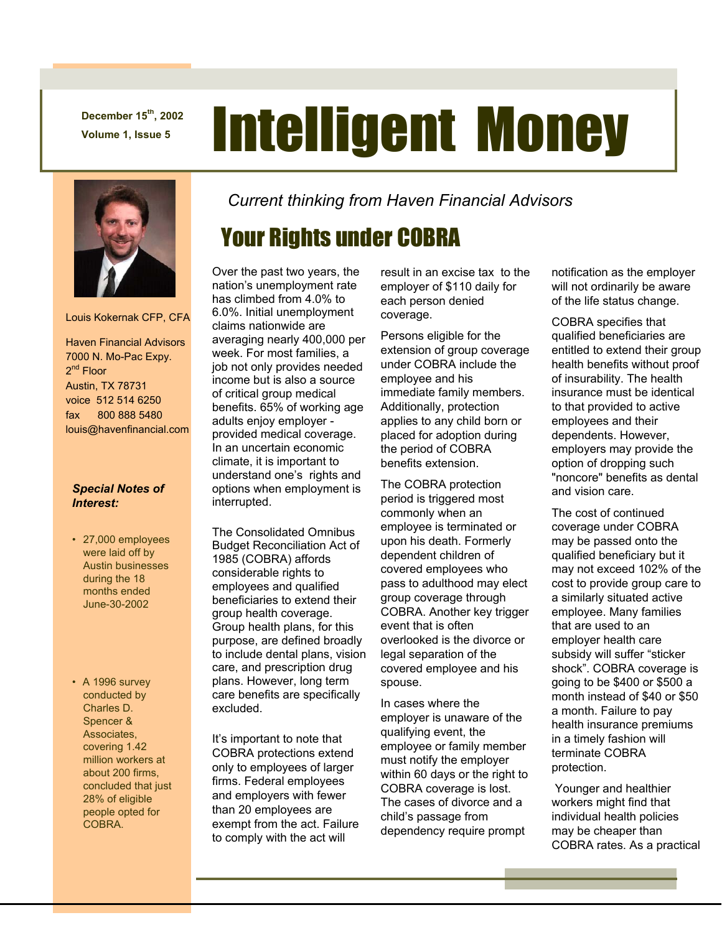**December 15th, 2002** 

# December 15<sup>th</sup>, 2002 **Intelligent Money**



#### Louis Kokernak CFP, CFA

 Haven Financial Advisors 7000 N. Mo-Pac Expy. 2<sup>nd</sup> Floor Austin, TX 78731 voice 512 514 6250 fax 800 888 5480 louis@havenfinancial.com

### *Special Notes of Interest:*

• 27,000 employees were laid off by Austin businesses during the 18 months ended June-30-2002

• A 1996 survey conducted by Charles D. Spencer & Associates, covering 1.42 million workers at about 200 firms, concluded that just 28% of eligible people opted for COBRA.

*Current thinking from Haven Financial Advisors* 

# Your Rights under COBRA

Over the past two years, the nation's unemployment rate has climbed from 4.0% to 6.0%. Initial unemployment claims nationwide are averaging nearly 400,000 per week. For most families, a job not only provides needed income but is also a source of critical group medical benefits. 65% of working age adults enjoy employer provided medical coverage. In an uncertain economic climate, it is important to understand one's rights and options when employment is interrupted.

The Consolidated Omnibus Budget Reconciliation Act of 1985 (COBRA) affords considerable rights to employees and qualified beneficiaries to extend their group health coverage. Group health plans, for this purpose, are defined broadly to include dental plans, vision care, and prescription drug plans. However, long term care benefits are specifically excluded.

It's important to note that COBRA protections extend only to employees of larger firms. Federal employees and employers with fewer than 20 employees are exempt from the act. Failure to comply with the act will

result in an excise tax to the employer of \$110 daily for each person denied coverage.

Persons eligible for the extension of group coverage under COBRA include the employee and his immediate family members. Additionally, protection applies to any child born or placed for adoption during the period of COBRA benefits extension.

The COBRA protection period is triggered most commonly when an employee is terminated or upon his death. Formerly dependent children of covered employees who pass to adulthood may elect group coverage through COBRA. Another key trigger event that is often overlooked is the divorce or legal separation of the covered employee and his spouse.

In cases where the employer is unaware of the qualifying event, the employee or family member must notify the employer within 60 days or the right to COBRA coverage is lost. The cases of divorce and a child's passage from dependency require prompt

notification as the employer will not ordinarily be aware of the life status change.

COBRA specifies that qualified beneficiaries are entitled to extend their group health benefits without proof of insurability. The health insurance must be identical to that provided to active employees and their dependents. However, employers may provide the option of dropping such "noncore" benefits as dental and vision care.

The cost of continued coverage under COBRA may be passed onto the qualified beneficiary but it may not exceed 102% of the cost to provide group care to a similarly situated active employee. Many families that are used to an employer health care subsidy will suffer "sticker shock". COBRA coverage is going to be \$400 or \$500 a month instead of \$40 or \$50 a month. Failure to pay health insurance premiums in a timely fashion will terminate COBRA protection.

 Younger and healthier workers might find that individual health policies may be cheaper than COBRA rates. As a practical